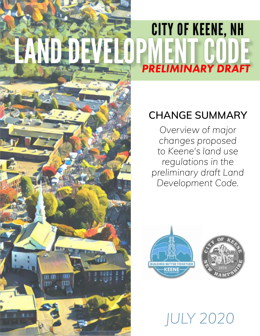# CITY OF KEENE, NH LAND DEVELOPMENT CODE *PRELIMINARY DRAFT*

# **CHANGE SUMMARY**

*Overview of major changes proposed to Keene's land use regulations in the preliminary draft Land Development Code.*



*JULY 2020*

City of Keene Land Development Code - *DRAFT*

m ता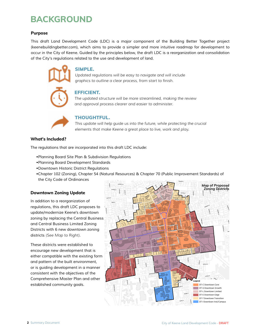### **BACKGROUND**

#### **Purpose**

*This draft Land Development Code (LDC) is a major component of the Building Better Together project [\(keenebuildingbetter.com\),](http://www.keenebuildingbetter.com) which aims to provide a simpler and more intuitive roadmap for development to occur in the City of Keene. Guided by the principles below, the draft LDC is a reorganization and consolidation of the City's regulations related to the use and development of land.*



#### SIMPLE.

*Updated regulations will be easy to navigate and will include graphics to outline a clear process, from start to finish.*

#### EFFICIENT.

*The updated structure will be more streamlined, making the review and approval process clearer and easier to administer.* 



#### THOUGHTFUL.

*This update will help guide us into the future, while protecting the crucial elements that make Keene a great place to live, work and play.*

#### **What's Included?**

*The regulations that are incorporated into this draft LDC include:*

- *•[Planning Board Site Plan & Subdivision Regulations](https://ci.keene.nh.us/sites/default/files/planning/2018_05_29_Planning_Board_Regs_Adopted_FINAL.pdf)*
- *•[Planning Board Development Standards](https://ci.keene.nh.us/sites/default/files/planning/2019_04_22_Dev_Standards_Adopted_FINAL.pdf)*
- *•[Downtown Historic District Regulations](https://ci.keene.nh.us/sites/default/files/Community%20Development/Historic%20District/2018_10_03_Hist_Dist_Comm_Regulations_Adopted.pdf)*
- *•[Chapter 102 \(Zoning\),](https://library.municode.com/nh/keene/codes/code_of_ordinances?nodeId=PTIICOOR_CH102ZO) [Chapter 54 \(Natural Resources](https://library.municode.com/nh/keene/codes/code_of_ordinances?nodeId=PTIICOOR_CH54NARE)) & [Chapter 70 \(Public Improvement Standards\)](https://library.municode.com/nh/keene/codes/code_of_ordinances?nodeId=PTIICOOR_CH70PUIMST) of the [City Code of Ordinances](https://library.municode.com/nh/keene/codes/code_of_ordinances)* **VINE ST**

#### **Downtown Zoning Update**

*In addition to a reorganization of*   $r$ egulations, this draft LDC proposes to *update/modernize Keene's downtown zoning by replacing the Central Business and Central Business Limited Zoning*  **Districts with 6 new downtown zoning** *districts (See Map to Right).*

*These districts were established to encourage new development that is*  either compatible with the existing form *and pattern of the built environment, or is guiding development in a manner*  **CADY ST** consistent with the objectives of the **Comprehensive Master Plan and other** *established community goals.*  **PEARL ST**

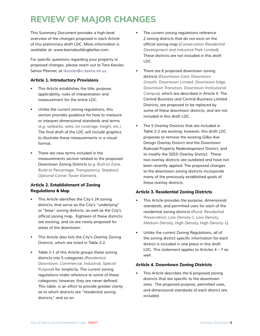## **REVIEW OF MAJOR CHANGES**

*This Summary Document provides a high-level overview of the changes proposed in each Article of this preliminary draft LDC. More information is available at: www.keenebuildingbetter.com.* 

For specific questions regarding your property or *proposed changes, please reach out to Tara Kessler, Senior Planner, at tkessler@ci.keene.nh.us.* 

#### **Article 1. Introductory Provisions**

- *• This Article establishes the title, purpose, applicability, rules of interpretation and measurement for the entire LDC.*
- *• Unlike the current zoning regulations, this section provides guidance for how to measure or interpret dimensional standards and terms (e.g. setbacks, area, lot coverage, height, etc.).*  The final draft of the LDC will include graphics *to illustrate these measurements in a visual format.*
- *• There are new terms included in the measurements section related to the proposed Downtown Zoning Districts (e.g. Built-to Zone, Build-to Percentage, Transparency, Stepback, Optional Corner Tower Element).*

#### **Article 2. Establishment of Zoning Regulations & Map**

- *•* This Article identifies the City's 24 zoning *districts, that serve as the City's "underlying" or "base" zoning districts, as well as the City's*  official zoning map. Eighteen of these districts *are existing, and six are newly proposed for areas of the downtown.*
- *• This Article also lists the City's Overlay Zoning Districts, which are listed in Table 2-2.*
- *• Table 2-1 of this Article groups these zoning districts into 5 categories (Residential, Downtown, Commercial, Industrial, Special Purpose) for simplicity. The current zoning regulations make reference to some of these*  categories; however, they are never defined. *This table, is an effort to provide greater clarity as to which districts are "residential zoning districts," and so on.*
- *• The current zoning regulations reference 2 zoning districts that do not exist on the*  official zoning map (*Conservation Residential Development and Industrial Park Limited). These districts are not included in this draft LDC.*
- *• There are 6 proposed downtown zoning districts (Downtown Core, Downtown Growth, Downtown Limited, Downtown Edge, Downtown Transition, Downtown Institutional Campus), which are described in Article 4. The Central Business and Central Business Limited Districts, are proposed to be replaced by some of these downtown districts, and are not included in this draft LDC.*
- *• The 5 Overlay Districts that are included in Table 2-2 are existing; however, this draft LDC proposes to remove the existing Gilbo Ave Design Overlay District and the Downtown Railroad Property Redevelopment District, and*  to modify the SEED Overlay District. These *two overlay districts are outdated and have not been recently applied. The proposed changes to the downtown zoning districts incorporate many of the previously established goals of these overlay districts.*

#### **Article 3. Residential Zoning Districts**

- *• This Article provides the purpose, dimensional standards, and permitted uses for each of the residential zoning districts (Rural, Residential Preservation, Low Density-1, Low Density, Medium Density, High Density, High Density-1).*
- *• Unlike the current Zoning Regulations, all of*  the zoning district specific information for each *district is included in one place in this draft LDC. This statement applies to Articles 4 – 7 as well.*

#### **Article 4. Downtown Zoning Districts**

*• This Article describes the 6 proposed zoning*  districts that are specific to the downtown *area. The proposed purpose, permitted uses, and dimensional standards of each district are included.*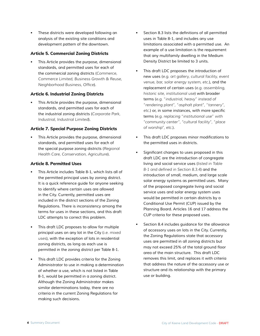*• These districts were developed following an analysis of the existing site conditions and development pattern of the downtown.* 

#### **Article 5. Commercial Zoning Districts**

*• This Article provides the purpose, dimensional standards, and permitted uses for each of the commercial zoning districts (Commerce, Commerce Limited, Business Growth & Reuse, Neighborhood Business, Office).* 

#### **Article 6. Industrial Zoning Districts**

*• This Article provides the purpose, dimensional standards, and permitted uses for each of the industrial zoning districts (Corporate Park, Industrial, Industrial Limited).* 

#### **Article 7. Special Purpose Zoning Districts**

*• This Article provides the purpose, dimensional standards, and permitted uses for each of the special purpose zoning districts (Regional Health Care, Conservation, Agriculture).* 

#### **Article 8. Permitted Uses**

- *• This Article includes Table 8-1, which lists all of the permitted principal uses by zoning district.*  It is a quick reference guide for anyone seeking *to identify where certain uses are allowed in the City. Currently, permitted uses are included in the district sections of the Zoning Regulations. There is inconsistency among the terms for uses in these sections, and this draft LDC attempts to correct this problem.*
- *• This draft LDC proposes to allow for multiple principal uses on any lot in the City (i.e. mixed uses), with the exception of lots in residential zoning districts, as long as each use is permitted in the zoning district per Table 8-1.*
- *• This draft LDC provides criteria for the Zoning Administrator to use in making a determination of whether a use, which is not listed in Table 8-1, would be permitted in a zoning district. Although the Zoning Administrator makes similar determinations today, there are no criteria in the current Zoning Regulations for making such decisions.*
- *•* Section 8.3 lists the definitions of all permitted *uses in Table 8-1, and includes any use limitations associated with a permitted use. An*  example of a use limitation is the requirement *that any multifamily dwelling in the Medium Density District be limited to 3 units.*
- *• This draft LDC proposes the introduction of new uses (e.g. art gallery, cultural facility, event venue, bar, solar energy system, etc.), and the replacement of certain uses (e.g. assembling, historic site, institutional use) with broader terms (e.g. "industrial, heavy" instead of "rendering plant", "asphalt plant", "tannery", etc.*) or, in some instances, with more specific *terms (e.g. replacing "institutional use" with "community center", "cultural facility", "place of worship", etc.).*
- *•* This draft LDC proposes minor modifications to *the permitted uses in districts.*
- *•* Significant changes to uses proposed in this *draft LDC are the introduction of congregate living and social service uses (listed in Table 8-1 and defined in Section 8.3.4) and the introduction of small, medium, and large scale solar energy systems as permitted uses. Many of the proposed congregate living and social service uses and solar energy system uses would be permitted in certain districts by a Conditional Use Permit (CUP) issued by the Planning Board. Articles 16 and 17 address the CUP criteria for these proposed uses.*
- *• Section 8.4 includes guidance for the allowance of accessory uses on lots in the City. Currently, the Zoning Regulations state that accessory uses are permitted in all zoning districts but*  may not exceed 25% of the total ground floor *area of the main structure. This draft LDC removes this limit, and replaces it with criteria that address the nature of the accessory use or structure and its relationship with the primary use or building.*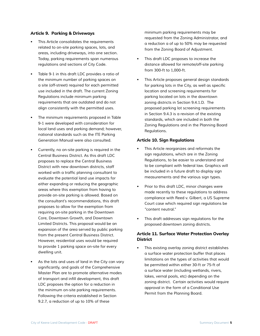#### **Article 9. Parking & Driveways**

- *•* This Article consolidates the requirements *related to on-site parking spaces, lots, and areas, including driveways, into one section.*  Today, parking requirements span numerous *regulations and sections of City Code.*
- *• Table 9-1 in this draft LDC provides a ratio of the minimum number of parking spaces on*  a site (off-street) required for each permitted *use included in the draft. The current Zoning Regulations include minimum parking*  requirements that are outdated and do not *align consistently with the permitted uses.*
- *•* The minimum requirements proposed in Table *9-1 were developed with consideration for local land uses and parking demand; however,*  national standards such as the ITE Parking *Generation Manual were also consulted.*
- *•* Currently, no on-site parking is required in the *Central Business District. As this draft LDC proposes to replace the Central Business District with new downtown districts, staff*  worked with a traffic planning consultant to *evaluate the potential land use impacts for either expanding or reducing the geographic areas where this exemption from having to provide on-site parking is allowed. Based on the consultant's recommendations, this draft proposes to allow for the exemption from*  requiring on-site parking in the Downtown *Core, Downtown Growth, and Downtown Limited Districts. This proposal would be an expansion of the area served by public parking from the present Central Business District.*  However, residential uses would be required *to provide 1 parking space on-site for every dwelling unit.*
- *• As the lots and uses of land in the City can vary*  significantly, and goals of the Comprehensive *Master Plan are to promote alternative modes*  of transport and infill development, this draft *LDC proposes the option for a reduction in*  the minimum on-site parking requirements. *Following the criteria established in Section 9.2.7, a reduction of up to 10% of these*

minimum parking requirements may be requested from the Zoning Administrator, and a reduction a of up to 50% may be requested *from the Zoning Board of Adjustment.* 

- *• This draft LDC proposes to increase the distance allowed for remote/off-site parking from 300-ft to 1,000-ft.*
- *• This Article proposes general design standards*  for parking lots in the City, as well as specific location and screening requirements for *parking located on lots in the downtown zoning districts in Section 9.4.1.D. The*  proposed parking lot screening requirements *in Section 9.4.3 is a revision of the existing standards, which are included in both the Zoning Regulations and in the Planning Board Regulations.*

#### **Article 10. Sign Regulations**

- *• This Article reorganizes and reformats the sign regulations, which are in the Zoning Regulations, to be easier to understand and to be compliant with federal law. Graphics will be included in a future draft to display sign measurements and the various sign types.*
- *• Prior to this draft LDC, minor changes were made recently to these regulations to address compliance with Reed v. Gilbert, a US Supreme*  Court case which required sign regulations be *"content neutral."*
- *• This draft addresses sign regulations for the proposed downtown zoning districts.*

#### **Article 11. Surface Water Protection Overlay District**

*• This existing overlay zoning district establishes a surface water protection buffer that places limitations on the types of activities that would be permitted within either 30-ft or 75-ft of a surface water (including wetlands, rivers, lakes, vernal pools, etc) depending on the*  zoning district. Certain activities would require *approval in the form of a Conditional Use Permit from the Planning Board.*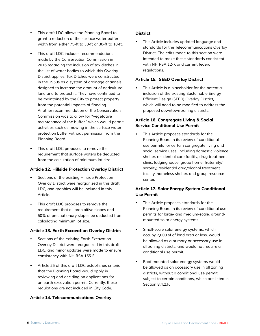- *• This draft LDC allows the Planning Board to grant a reduction of the surface water buffer width from either 75-ft to 30-ft or 30-ft to 10-ft.*
- *• This draft LDC includes recommendations made by the Conservation Commission in 2016 regarding the inclusion of tax ditches in the list of water bodies to which this Overlay District applies. Tax Ditches were constructed in the 1950s as a system of drainage channels designed to increase the amount of agricultural land and to protect it. They have continued to be maintained by the City to protect property*  from the potential impacts of flooding. *Another recommendation of the Conservation Commission was to allow for "vegetative maintenance of the buffer," which would permit activities such as mowing in the surface water protection buffer without permission from the Planning Board.*
- *• This draft LDC proposes to remove the*  requirement that surface waters be deducted *from the calculation of minimum lot size.*

#### **Article 12. Hillside Protection Overlay District**

- *• Sections of the existing Hillside Protection Overlay District were reorganized in this draft LDC, and graphics will be included in this Article.*
- *• This draft LDC proposes to remove the*  requirement that all prohibitive slopes and *50% of precautionary slopes be deducted from calculating minimum lot size.*

#### **Article 13. Earth Excavation Overlay District**

- *•* Sections of the existing Earth Excavation *Overlay District were reorganized in this draft LDC, and minor updates were made to ensure*  consistency with NH RSA 155-E.
- *• Article 25 of this draft LDC establishes criteria that the Planning Board would apply in reviewing and deciding on applications for an earth excavation permit. Currently, these regulations are not included in City Code.*

#### **Article 14. Telecommunications Overlay**

#### **District**

*• This Article includes updated language and standards for the Telecommunications Overlay District. The edits made to this section were intended to make these standards consistent with NH RSA 12-K and current federal regulations.* 

#### **Article 15. SEED Overlay District**

*• This Article is a placeholder for the potential*  inclusion of the existing Sustainable Energy Efficient Design (SEED) Overlay District, which will need to be modified to address the *proposed downtown zoning districts.* 

#### **Article 16. Congregate Living & Social Service Conditional Use Permit**

*• This Article proposes standards for the Planning Board in its review of conditional use permits for certain congregate living and social service uses, including domestic violence shelter, residential care facility, drug treatment clinic, lodginghouse, group home, fraternity/ sorority, residential drug/alcohol treatment facility, homeless shelter, and group resource center.* 

#### **Article 17. Solar Energy System Conditional Use Permit**

- *• This Article proposes standards for the Planning Board in its review of conditional use permits for large- and medium-scale, groundmounted solar energy systems.*
- *• Small-scale solar energy systems, which occupy 2,000 sf of land area or less, would be allowed as a primary or accessory use in*  all zoning districts, and would not require a *conditional use permit.*
- *• Roof-mounted solar energy systems would be allowed as an accessory use in all zoning districts, without a conditional use permit, subject to certain conditions, which are listed in Section 8.4.2.F.*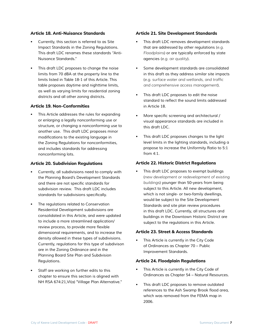#### **Article 18. Anti-Nuisance Standards**

- *• Currently, this section is referred to as Site Impact Standards in the Zoning Regulations. This draft LDC renames these standards "Anti-Nuisance Standards."*
- *• This draft LDC proposes to change the noise limits from 70 dBA at the property line to the limits listed in Table 18-1 of this Article. This table proposes daytime and nighttime limits, as well as varying limits for residential zoning districts and all other zoning districts.*

#### **Article 19. Non-Conformities**

*• This Article addresses the rules for expanding or enlarging a legally nonconforming use or structure, or changing a nonconforming use to another use. This draft LDC proposes minor*  modifications to the existing language in *the Zoning Regulations for nonconformities, and includes standards for addressing nonconforming lots.* 

#### **Article 20. Subdivision Regulations**

- *• Currently, all subdivisions need to comply with the Planning Board's Development Standards*  and there are not specific standards for *subdivision review. This draft LDC includes*  standards for subdivisions specifically.
- *• The regulations related to Conservation Residential Development subdivisions are consolidated in this Article, and were updated to include a more streamlined application/* review process, to provide more flexible dimensional requirements, and to increase the *density allowed in these types of subdivisions. Currently, regulations for this type of subdivison are in the Zoning Ordinance and in the Planning Board Site Plan and Subdvision Regulations.*
- *• Staff are working on further edits to this chapter to ensure this section is aligned with NH RSA 674:21,VI(a) "Village Plan Alternative."*

#### **Article 21. Site Development Standards**

- *• This draft LDC removes development standards that are addressed by other regulations (e.g. Floodplains) or are typically enforced by state agencies (e.g. air quality).*
- *• Some development standards are consolidated in this draft as they address similar site impacts (e.g. surface water and wetlands, and traffic and comprehensive access management).*
- *• This draft LDC proposes to edit the noise*  standard to reflect the sound limits addressed *in Article 18.*
- *•* More specific screening and architectural / *visual appearance standards are included in this draft LDC.*
- *• This draft LDC proposes changes to the light level limits in the lighting standards, including a propose to increase the Uniformity Ratio to 5:1 from 4:1.*

#### **Article 22. Historic District Regulations**

*• This draft LDC proposes to exempt buildings (new development or redevelopment of existing buildings) younger than 50-years from being subject to this Article. All new development, which is not single- or two-family dwellings, would be subject to the Site Development Standards and site plan review procedures in this draft LDC. Currently, all structures and buildings in the Downtown Historic District are subject to the regulations in this Article.* 

#### **Article 23. Street & Access Standards**

*• This Article is currently in the City Code of Ordinances as Chapter 70 – Public Improvement Standards.* 

#### **Article 24. Floodplain Regulations**

- *• This Article is currently in the City Code of Ordinances as Chapter 54 – Natural Resources.*
- *• This draft LDC proposes to remove outdated*  references to the Ash Swamp Brook flood area, which was removed from the FEMA map in *2006.*